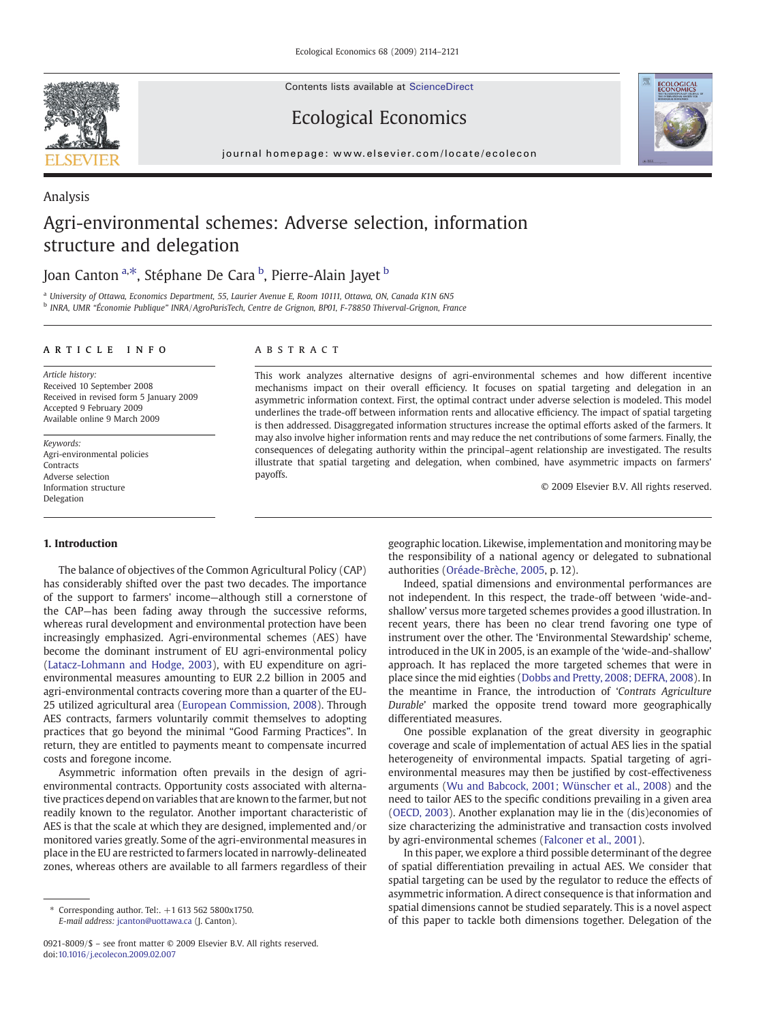Contents lists available at ScienceDirect

# Ecological Economics

journal homepage: www.elsevier.com/locate/ecolecon  $j$  or expression e de la sevente de la sevente de la sevente de la contradición de la contradición de la contradición de la contradición de la contradición de la contradición de la contradición de la contradición de la c



# Analysis Agri-environmental schemes: Adverse selection, information structure and delegation

## Joan Canton <sup>a,\*</sup>, Stéphane De Cara <sup>b</sup>, Pierre-Alain Jayet <sup>b</sup>

<sup>a</sup> University of Ottawa, Economics Department, 55, Laurier Avenue E, Room 10111, Ottawa, ON, Canada K1N 6N5 <sup>b</sup> INRA, UMR "Économie Publique" INRA/AgroParisTech, Centre de Grignon, BP01, F-78850 Thiverval-Grignon, France

### article info abstract

Article history: Received 10 September 2008 Received in revised form 5 January 2009 Accepted 9 February 2009 Available online 9 March 2009

Keywords: Agri-environmental policies Contracts Adverse selection Information structure Delegation

This work analyzes alternative designs of agri-environmental schemes and how different incentive mechanisms impact on their overall efficiency. It focuses on spatial targeting and delegation in an asymmetric information context. First, the optimal contract under adverse selection is modeled. This model underlines the trade-off between information rents and allocative efficiency. The impact of spatial targeting is then addressed. Disaggregated information structures increase the optimal efforts asked of the farmers. It may also involve higher information rents and may reduce the net contributions of some farmers. Finally, the consequences of delegating authority within the principal–agent relationship are investigated. The results illustrate that spatial targeting and delegation, when combined, have asymmetric impacts on farmers' payoffs.

© 2009 Elsevier B.V. All rights reserved.

## 1. Introduction

The balance of objectives of the Common Agricultural Policy (CAP) has considerably shifted over the past two decades. The importance of the support to farmers' income—although still a cornerstone of the CAP—has been fading away through the successive reforms, whereas rural development and environmental protection have been increasingly emphasized. Agri-environmental schemes (AES) have become the dominant instrument of EU agri-environmental policy [\(Latacz-Lohmann and Hodge, 2003\)](#page--1-0), with EU expenditure on agrienvironmental measures amounting to EUR 2.2 billion in 2005 and agri-environmental contracts covering more than a quarter of the EU-25 utilized agricultural area ([European Commission, 2008](#page--1-0)). Through AES contracts, farmers voluntarily commit themselves to adopting practices that go beyond the minimal "Good Farming Practices". In return, they are entitled to payments meant to compensate incurred costs and foregone income.

Asymmetric information often prevails in the design of agrienvironmental contracts. Opportunity costs associated with alternative practices depend on variables that are known to the farmer, but not readily known to the regulator. Another important characteristic of AES is that the scale at which they are designed, implemented and/or monitored varies greatly. Some of the agri-environmental measures in place in the EU are restricted to farmers located in narrowly-delineated zones, whereas others are available to all farmers regardless of their

geographic location. Likewise, implementation and monitoring may be the responsibility of a national agency or delegated to subnational authorities ([Oréade-Brèche, 2005](#page--1-0), p. 12).

Indeed, spatial dimensions and environmental performances are not independent. In this respect, the trade-off between 'wide-andshallow' versus more targeted schemes provides a good illustration. In recent years, there has been no clear trend favoring one type of instrument over the other. The 'Environmental Stewardship' scheme, introduced in the UK in 2005, is an example of the 'wide-and-shallow' approach. It has replaced the more targeted schemes that were in place since the mid eighties [\(Dobbs and Pretty, 2008; DEFRA, 2008\)](#page--1-0). In the meantime in France, the introduction of 'Contrats Agriculture Durable' marked the opposite trend toward more geographically differentiated measures.

One possible explanation of the great diversity in geographic coverage and scale of implementation of actual AES lies in the spatial heterogeneity of environmental impacts. Spatial targeting of agrienvironmental measures may then be justified by cost-effectiveness arguments [\(Wu and Babcock, 2001; Wünscher et al., 2008](#page--1-0)) and the need to tailor AES to the specific conditions prevailing in a given area [\(OECD, 2003](#page--1-0)). Another explanation may lie in the (dis)economies of size characterizing the administrative and transaction costs involved by agri-environmental schemes ([Falconer et al., 2001](#page--1-0)).

In this paper, we explore a third possible determinant of the degree of spatial differentiation prevailing in actual AES. We consider that spatial targeting can be used by the regulator to reduce the effects of asymmetric information. A direct consequence is that information and spatial dimensions cannot be studied separately. This is a novel aspect of this paper to tackle both dimensions together. Delegation of the



<sup>⁎</sup> Corresponding author. Tel:. +1 613 562 5800x1750. E-mail address: [jcanton@uottawa.ca](mailto:jcanton@uottawa.ca) (J. Canton).

<sup>0921-8009/\$</sup> – see front matter © 2009 Elsevier B.V. All rights reserved. doi[:10.1016/j.ecolecon.2009.02.007](http://dx.doi.org/10.1016/j.ecolecon.2009.02.007)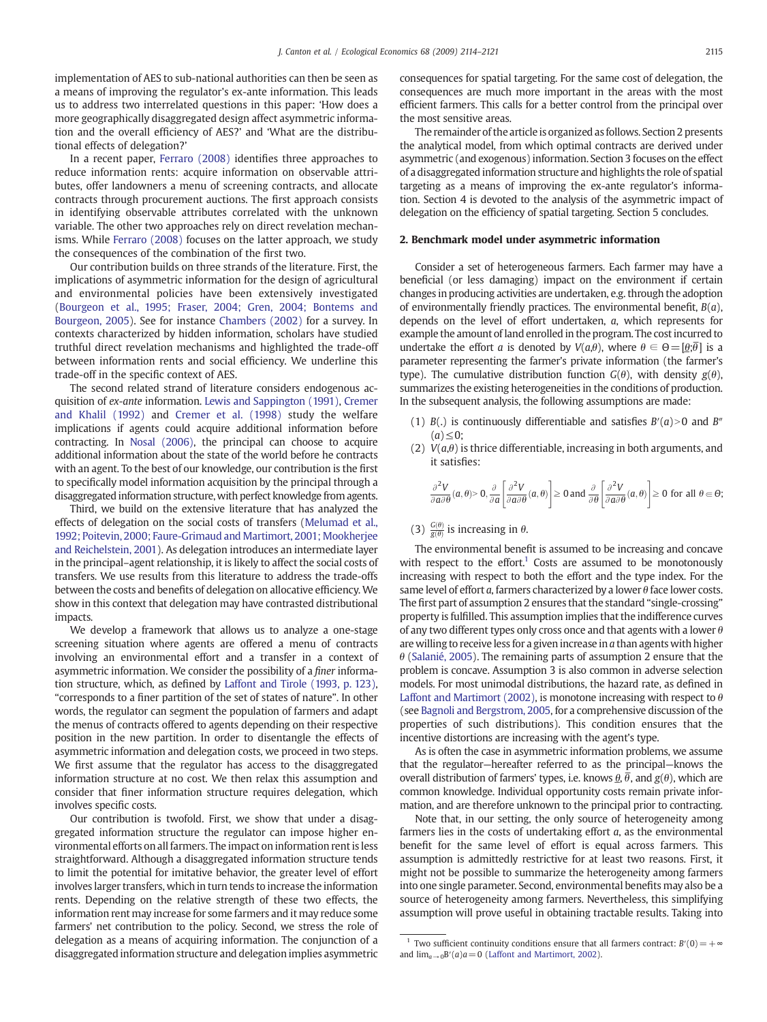implementation of AES to sub-national authorities can then be seen as a means of improving the regulator's ex-ante information. This leads us to address two interrelated questions in this paper: 'How does a more geographically disaggregated design affect asymmetric information and the overall efficiency of AES?' and 'What are the distributional effects of delegation?'

In a recent paper, [Ferraro \(2008\)](#page--1-0) identifies three approaches to reduce information rents: acquire information on observable attributes, offer landowners a menu of screening contracts, and allocate contracts through procurement auctions. The first approach consists in identifying observable attributes correlated with the unknown variable. The other two approaches rely on direct revelation mechanisms. While [Ferraro \(2008\)](#page--1-0) focuses on the latter approach, we study the consequences of the combination of the first two.

Our contribution builds on three strands of the literature. First, the implications of asymmetric information for the design of agricultural and environmental policies have been extensively investigated [\(Bourgeon et al., 1995; Fraser, 2004; Gren, 2004; Bontems and](#page--1-0) [Bourgeon, 2005](#page--1-0)). See for instance [Chambers \(2002\)](#page--1-0) for a survey. In contexts characterized by hidden information, scholars have studied truthful direct revelation mechanisms and highlighted the trade-off between information rents and social efficiency. We underline this trade-off in the specific context of AES.

The second related strand of literature considers endogenous acquisition of ex-ante information. [Lewis and Sappington \(1991\)](#page--1-0), [Cremer](#page--1-0) [and Khalil \(1992\)](#page--1-0) and [Cremer et al. \(1998\)](#page--1-0) study the welfare implications if agents could acquire additional information before contracting. In [Nosal \(2006\)](#page--1-0), the principal can choose to acquire additional information about the state of the world before he contracts with an agent. To the best of our knowledge, our contribution is the first to specifically model information acquisition by the principal through a disaggregated information structure, with perfect knowledge from agents.

Third, we build on the extensive literature that has analyzed the effects of delegation on the social costs of transfers ([Melumad et al.,](#page--1-0) [1992; Poitevin, 2000; Faure-Grimaud and Martimort, 2001; Mookherjee](#page--1-0) [and Reichelstein, 2001\)](#page--1-0). As delegation introduces an intermediate layer in the principal–agent relationship, it is likely to affect the social costs of transfers. We use results from this literature to address the trade-offs between the costs and benefits of delegation on allocative efficiency. We show in this context that delegation may have contrasted distributional impacts.

We develop a framework that allows us to analyze a one-stage screening situation where agents are offered a menu of contracts involving an environmental effort and a transfer in a context of asymmetric information. We consider the possibility of a finer information structure, which, as defined by [Laffont and Tirole \(1993, p. 123\),](#page--1-0) "corresponds to a finer partition of the set of states of nature". In other words, the regulator can segment the population of farmers and adapt the menus of contracts offered to agents depending on their respective position in the new partition. In order to disentangle the effects of asymmetric information and delegation costs, we proceed in two steps. We first assume that the regulator has access to the disaggregated information structure at no cost. We then relax this assumption and consider that finer information structure requires delegation, which involves specific costs.

Our contribution is twofold. First, we show that under a disaggregated information structure the regulator can impose higher environmental efforts on all farmers. The impact on information rent is less straightforward. Although a disaggregated information structure tends to limit the potential for imitative behavior, the greater level of effort involves larger transfers, which in turn tends to increase the information rents. Depending on the relative strength of these two effects, the information rent may increase for some farmers and it may reduce some farmers' net contribution to the policy. Second, we stress the role of delegation as a means of acquiring information. The conjunction of a disaggregated information structure and delegation implies asymmetric

consequences for spatial targeting. For the same cost of delegation, the consequences are much more important in the areas with the most efficient farmers. This calls for a better control from the principal over the most sensitive areas.

The remainder of the article is organized as follows. Section 2 presents the analytical model, from which optimal contracts are derived under asymmetric (and exogenous) information. Section 3 focuses on the effect of a disaggregated information structure and highlights the role of spatial targeting as a means of improving the ex-ante regulator's information. Section 4 is devoted to the analysis of the asymmetric impact of delegation on the efficiency of spatial targeting. Section 5 concludes.

### 2. Benchmark model under asymmetric information

Consider a set of heterogeneous farmers. Each farmer may have a beneficial (or less damaging) impact on the environment if certain changes in producing activities are undertaken, e.g. through the adoption of environmentally friendly practices. The environmental benefit,  $B(a)$ , depends on the level of effort undertaken, a, which represents for example the amount of land enrolled in the program. The cost incurred to undertake the effort *a* is denoted by  $V(a,\theta)$ , where  $\theta \in \Theta = [\underline{\theta};\theta]$  is a !<br>. parameter representing the farmer's private information (the farmer's type). The cumulative distribution function  $G(\theta)$ , with density  $g(\theta)$ , summarizes the existing heterogeneities in the conditions of production. In the subsequent analysis, the following assumptions are made:

- (1)  $B(.)$  is continuously differentiable and satisfies  $B'(a) > 0$  and  $B''$  $(a) \leq 0$ :
- (2)  $V(a,\theta)$  is thrice differentiable, increasing in both arguments, and it satisfies:

$$
\frac{\partial^2 V}{\partial a \partial \theta}(a,\theta) > 0, \frac{\partial}{\partial a} \left[ \frac{\partial^2 V}{\partial a \partial \theta}(a,\theta) \right] \ge 0 \text{ and } \frac{\partial}{\partial \theta} \left[ \frac{\partial^2 V}{\partial a \partial \theta}(a,\theta) \right] \ge 0 \text{ for all } \theta \in \Theta;
$$

## (3)  $\frac{G(\theta)}{g(\theta)}$  is increasing in  $\theta$ .

The environmental benefit is assumed to be increasing and concave with respect to the effort.<sup>1</sup> Costs are assumed to be monotonously increasing with respect to both the effort and the type index. For the same level of effort a, farmers characterized by a lower  $\theta$  face lower costs. The first part of assumption 2 ensures that the standard "single-crossing" property is fulfilled. This assumption implies that the indifference curves of any two different types only cross once and that agents with a lower  $\theta$ are willing to receive less for a given increase in  $a$  than agents with higher  $\theta$  [\(Salanié, 2005\)](#page--1-0). The remaining parts of assumption 2 ensure that the problem is concave. Assumption 3 is also common in adverse selection models. For most unimodal distributions, the hazard rate, as defined in [Laffont and Martimort \(2002\),](#page--1-0) is monotone increasing with respect to  $\theta$ (see [Bagnoli and Bergstrom, 2005,](#page--1-0) for a comprehensive discussion of the properties of such distributions). This condition ensures that the incentive distortions are increasing with the agent's type.

As is often the case in asymmetric information problems, we assume that the regulator—hereafter referred to as the principal—knows the overall distribution of farmers' types, i.e. knows <u>θ,</u> θ, and  $g(\theta)$ , which are ו<br>. common knowledge. Individual opportunity costs remain private information, and are therefore unknown to the principal prior to contracting.

Note that, in our setting, the only source of heterogeneity among farmers lies in the costs of undertaking effort  $a$ , as the environmental benefit for the same level of effort is equal across farmers. This assumption is admittedly restrictive for at least two reasons. First, it might not be possible to summarize the heterogeneity among farmers into one single parameter. Second, environmental benefits may also be a source of heterogeneity among farmers. Nevertheless, this simplifying assumption will prove useful in obtaining tractable results. Taking into

<sup>&</sup>lt;sup>1</sup> Two sufficient continuity conditions ensure that all farmers contract:  $B'(0) = +\infty$ and  $\lim_{a\to 0} B'(a)a=0$  ([Laffont and Martimort, 2002\)](#page--1-0).